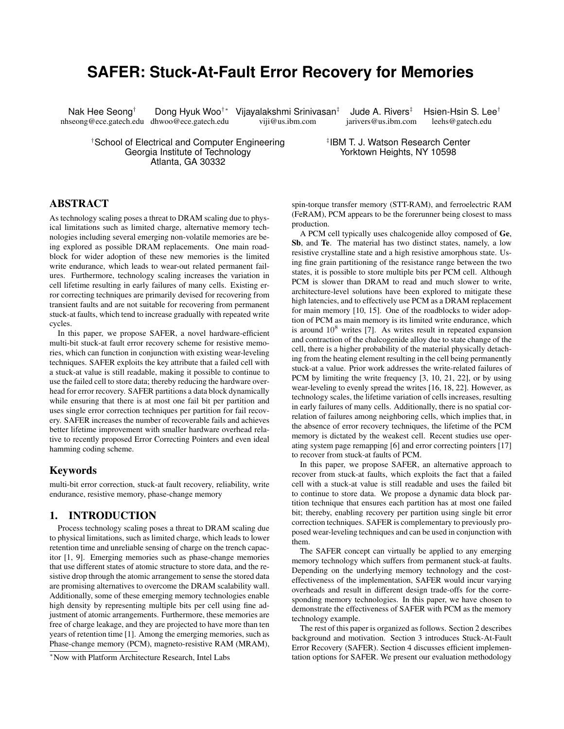# **SAFER: Stuck-At-Fault Error Recovery for Memories**

Nak Hee Seong† Dong Hyuk Woo†∗ Vijayalakshmi Srinivasan‡

Jude A. Rivers‡ Hsien-Hsin S. Lee† nhseong@ece.gatech.edu dhwoo@ece.gatech.edu viji@us.ibm.com jarivers@us.ibm.com leehs@gatech.edu

†School of Electrical and Computer Engineering ‡ Georgia Institute of Technology Atlanta, GA 30332

‡IBM T. J. Watson Research Center<br>Yorktown Heights, NY 10598

## **ABSTRACT**

As technology scaling poses a threat to DRAM scaling due to physical limitations such as limited charge, alternative memory technologies including several emerging non-volatile memories are being explored as possible DRAM replacements. One main roadblock for wider adoption of these new memories is the limited write endurance, which leads to wear-out related permanent failures. Furthermore, technology scaling increases the variation in cell lifetime resulting in early failures of many cells. Existing error correcting techniques are primarily devised for recovering from transient faults and are not suitable for recovering from permanent stuck-at faults, which tend to increase gradually with repeated write cycles.

In this paper, we propose SAFER, a novel hardware-efficient multi-bit stuck-at fault error recovery scheme for resistive memories, which can function in conjunction with existing wear-leveling techniques. SAFER exploits the key attribute that a failed cell with a stuck-at value is still readable, making it possible to continue to use the failed cell to store data; thereby reducing the hardware overhead for error recovery. SAFER partitions a data block dynamically while ensuring that there is at most one fail bit per partition and uses single error correction techniques per partition for fail recovery. SAFER increases the number of recoverable fails and achieves better lifetime improvement with smaller hardware overhead relative to recently proposed Error Correcting Pointers and even ideal hamming coding scheme.

#### **Keywords**

multi-bit error correction, stuck-at fault recovery, reliability, write endurance, resistive memory, phase-change memory

## **1. INTRODUCTION**

Process technology scaling poses a threat to DRAM scaling due to physical limitations, such as limited charge, which leads to lower retention time and unreliable sensing of charge on the trench capacitor [1, 9]. Emerging memories such as phase-change memories that use different states of atomic structure to store data, and the resistive drop through the atomic arrangement to sense the stored data are promising alternatives to overcome the DRAM scalability wall. Additionally, some of these emerging memory technologies enable high density by representing multiple bits per cell using fine adjustment of atomic arrangements. Furthermore, these memories are free of charge leakage, and they are projected to have more than ten years of retention time [1]. Among the emerging memories, such as Phase-change memory (PCM), magneto-resistive RAM (MRAM),

spin-torque transfer memory (STT-RAM), and ferroelectric RAM (FeRAM), PCM appears to be the forerunner being closest to mass production.

A PCM cell typically uses chalcogenide alloy composed of **Ge**, **Sb**, and **Te**. The material has two distinct states, namely, a low resistive crystalline state and a high resistive amorphous state. Using fine grain partitioning of the resistance range between the two states, it is possible to store multiple bits per PCM cell. Although PCM is slower than DRAM to read and much slower to write, architecture-level solutions have been explored to mitigate these high latencies, and to effectively use PCM as a DRAM replacement for main memory [10, 15]. One of the roadblocks to wider adoption of PCM as main memory is its limited write endurance, which is around  $10<sup>8</sup>$  writes [7]. As writes result in repeated expansion and contraction of the chalcogenide alloy due to state change of the cell, there is a higher probability of the material physically detaching from the heating element resulting in the cell being permanently stuck-at a value. Prior work addresses the write-related failures of PCM by limiting the write frequency [3, 10, 21, 22], or by using wear-leveling to evenly spread the writes [16, 18, 22]. However, as technology scales, the lifetime variation of cells increases, resulting in early failures of many cells. Additionally, there is no spatial correlation of failures among neighboring cells, which implies that, in the absence of error recovery techniques, the lifetime of the PCM memory is dictated by the weakest cell. Recent studies use operating system page remapping [6] and error correcting pointers [17] to recover from stuck-at faults of PCM.

In this paper, we propose SAFER, an alternative approach to recover from stuck-at faults, which exploits the fact that a failed cell with a stuck-at value is still readable and uses the failed bit to continue to store data. We propose a dynamic data block partition technique that ensures each partition has at most one failed bit; thereby, enabling recovery per partition using single bit error correction techniques. SAFER is complementary to previously proposed wear-leveling techniques and can be used in conjunction with them.

The SAFER concept can virtually be applied to any emerging memory technology which suffers from permanent stuck-at faults. Depending on the underlying memory technology and the costeffectiveness of the implementation, SAFER would incur varying overheads and result in different design trade-offs for the corresponding memory technologies. In this paper, we have chosen to demonstrate the effectiveness of SAFER with PCM as the memory technology example.

The rest of this paper is organized as follows. Section 2 describes background and motivation. Section 3 introduces Stuck-At-Fault Error Recovery (SAFER). Section 4 discusses efficient implementation options for SAFER. We present our evaluation methodology

<sup>∗</sup>Now with Platform Architecture Research, Intel Labs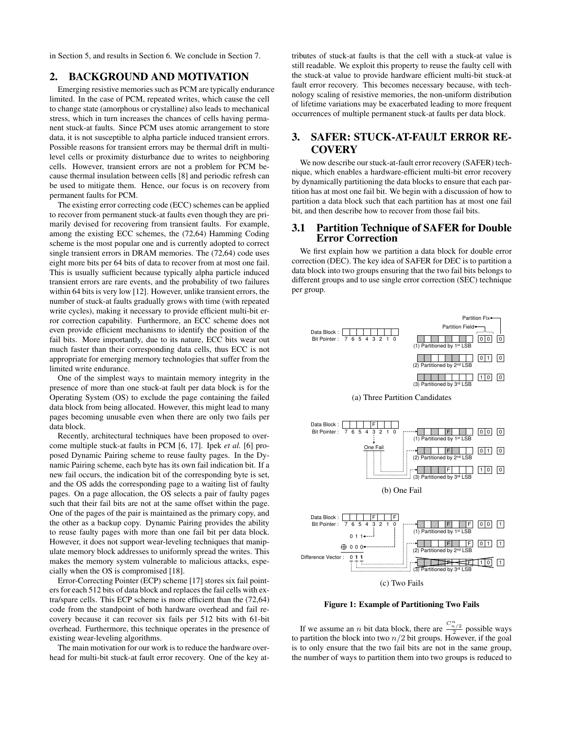in Section 5, and results in Section 6. We conclude in Section 7.

#### **2. BACKGROUND AND MOTIVATION**

Emerging resistive memories such as PCM are typically endurance limited. In the case of PCM, repeated writes, which cause the cell to change state (amorphous or crystalline) also leads to mechanical stress, which in turn increases the chances of cells having permanent stuck-at faults. Since PCM uses atomic arrangement to store data, it is not susceptible to alpha particle induced transient errors. Possible reasons for transient errors may be thermal drift in multilevel cells or proximity disturbance due to writes to neighboring cells. However, transient errors are not a problem for PCM because thermal insulation between cells [8] and periodic refresh can be used to mitigate them. Hence, our focus is on recovery from permanent faults for PCM.

The existing error correcting code (ECC) schemes can be applied to recover from permanent stuck-at faults even though they are primarily devised for recovering from transient faults. For example, among the existing ECC schemes, the (72,64) Hamming Coding scheme is the most popular one and is currently adopted to correct single transient errors in DRAM memories. The (72,64) code uses eight more bits per 64 bits of data to recover from at most one fail. This is usually sufficient because typically alpha particle induced transient errors are rare events, and the probability of two failures within 64 bits is very low [12]. However, unlike transient errors, the number of stuck-at faults gradually grows with time (with repeated write cycles), making it necessary to provide efficient multi-bit error correction capability. Furthermore, an ECC scheme does not even provide efficient mechanisms to identify the position of the fail bits. More importantly, due to its nature, ECC bits wear out much faster than their corresponding data cells, thus ECC is not appropriate for emerging memory technologies that suffer from the limited write endurance.

One of the simplest ways to maintain memory integrity in the presence of more than one stuck-at fault per data block is for the Operating System (OS) to exclude the page containing the failed data block from being allocated. However, this might lead to many pages becoming unusable even when there are only two fails per data block.

Recently, architectural techniques have been proposed to overcome multiple stuck-at faults in PCM [6, 17]. Ipek *et al.* [6] proposed Dynamic Pairing scheme to reuse faulty pages. In the Dynamic Pairing scheme, each byte has its own fail indication bit. If a new fail occurs, the indication bit of the corresponding byte is set, and the OS adds the corresponding page to a waiting list of faulty pages. On a page allocation, the OS selects a pair of faulty pages such that their fail bits are not at the same offset within the page. One of the pages of the pair is maintained as the primary copy, and the other as a backup copy. Dynamic Pairing provides the ability to reuse faulty pages with more than one fail bit per data block. However, it does not support wear-leveling techniques that manipulate memory block addresses to uniformly spread the writes. This makes the memory system vulnerable to malicious attacks, especially when the OS is compromised [18].

Error-Correcting Pointer (ECP) scheme [17] stores six fail pointers for each 512 bits of data block and replaces the fail cells with extra/spare cells. This ECP scheme is more efficient than the (72,64) code from the standpoint of both hardware overhead and fail recovery because it can recover six fails per 512 bits with 61-bit overhead. Furthermore, this technique operates in the presence of existing wear-leveling algorithms.

The main motivation for our work is to reduce the hardware overhead for multi-bit stuck-at fault error recovery. One of the key attributes of stuck-at faults is that the cell with a stuck-at value is still readable. We exploit this property to reuse the faulty cell with the stuck-at value to provide hardware efficient multi-bit stuck-at fault error recovery. This becomes necessary because, with technology scaling of resistive memories, the non-uniform distribution of lifetime variations may be exacerbated leading to more frequent occurrences of multiple permanent stuck-at faults per data block.

## **3. SAFER: STUCK-AT-FAULT ERROR RE-COVERY**

We now describe our stuck-at-fault error recovery (SAFER) technique, which enables a hardware-efficient multi-bit error recovery by dynamically partitioning the data blocks to ensure that each partition has at most one fail bit. We begin with a discussion of how to partition a data block such that each partition has at most one fail bit, and then describe how to recover from those fail bits.

### **3.1 Partition Technique of SAFER for Double Error Correction**

We first explain how we partition a data block for double error correction (DEC). The key idea of SAFER for DEC is to partition a data block into two groups ensuring that the two fail bits belongs to different groups and to use single error correction (SEC) technique per group.







(b) One Fail



**Figure 1: Example of Partitioning Two Fails**

If we assume an *n* bit data block, there are  $\frac{C_{n/2}^n}{2}$  possible ways to partition the block into two  $n/2$  bit groups. However, if the goal is to only ensure that the two fail bits are not in the same group, the number of ways to partition them into two groups is reduced to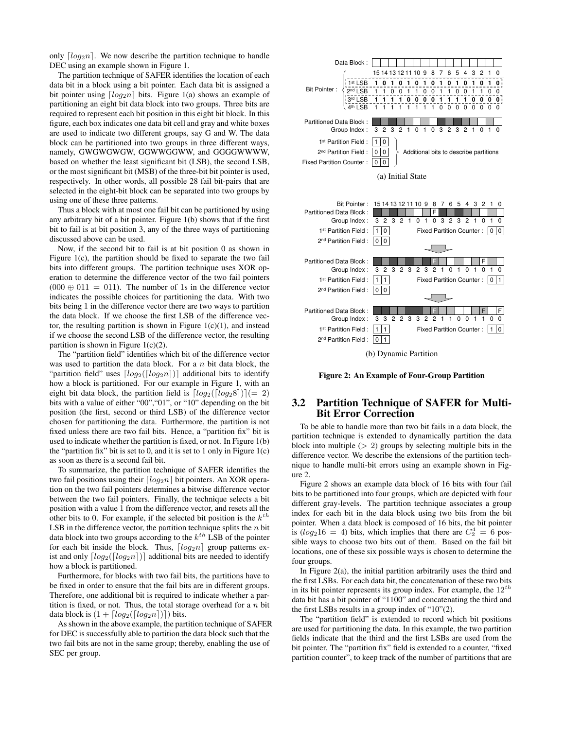only  $\lceil log_2n \rceil$ . We now describe the partition technique to handle DEC using an example shown in Figure 1.

The partition technique of SAFER identifies the location of each data bit in a block using a bit pointer. Each data bit is assigned a bit pointer using  $\lfloor log_2 n \rfloor$  bits. Figure 1(a) shows an example of partitioning an eight bit data block into two groups. Three bits are required to represent each bit position in this eight bit block. In this figure, each box indicates one data bit cell and gray and white boxes are used to indicate two different groups, say G and W. The data block can be partitioned into two groups in three different ways, namely, GWGWGWGW, GGWWGGWW, and GGGGWWWW, based on whether the least significant bit (LSB), the second LSB, or the most significant bit (MSB) of the three-bit bit pointer is used, respectively. In other words, all possible 28 fail bit-pairs that are selected in the eight-bit block can be separated into two groups by using one of these three patterns.

Thus a block with at most one fail bit can be partitioned by using any arbitrary bit of a bit pointer. Figure 1(b) shows that if the first bit to fail is at bit position 3, any of the three ways of partitioning discussed above can be used.

Now, if the second bit to fail is at bit position 0 as shown in Figure 1(c), the partition should be fixed to separate the two fail bits into different groups. The partition technique uses XOR operation to determine the difference vector of the two fail pointers  $(000 \oplus 011 = 011)$ . The number of 1s in the difference vector indicates the possible choices for partitioning the data. With two bits being 1 in the difference vector there are two ways to partition the data block. If we choose the first LSB of the difference vector, the resulting partition is shown in Figure  $1(c)(1)$ , and instead if we choose the second LSB of the difference vector, the resulting partition is shown in Figure  $1(c)(2)$ .

The "partition field" identifies which bit of the difference vector was used to partition the data block. For a  $n$  bit data block, the "partition field" uses  $\lceil log_2(\lceil log_2n \rceil) \rceil$  additional bits to identify how a block is partitioned. For our example in Figure 1, with an eight bit data block, the partition field is  $\lceil log_2(\lceil log_28 \rceil)\rceil (= 2)$ bits with a value of either "00","01", or "10" depending on the bit position (the first, second or third LSB) of the difference vector chosen for partitioning the data. Furthermore, the partition is not fixed unless there are two fail bits. Hence, a "partition fix" bit is used to indicate whether the partition is fixed, or not. In Figure 1(b) the "partition fix" bit is set to 0, and it is set to 1 only in Figure  $1(c)$ as soon as there is a second fail bit.

To summarize, the partition technique of SAFER identifies the two fail positions using their  $\lceil log_2n \rceil$  bit pointers. An XOR operation on the two fail pointers determines a bitwise difference vector between the two fail pointers. Finally, the technique selects a bit position with a value 1 from the difference vector, and resets all the other bits to 0. For example, if the selected bit position is the  $k^{th}$ LSB in the difference vector, the partition technique splits the  $n$  bit data block into two groups according to the  $k^{th}$  LSB of the pointer for each bit inside the block. Thus,  $\lceil log_2n \rceil$  group patterns exist and only  $\lceil log_2(\lceil log_2n \rceil) \rceil$  additional bits are needed to identify how a block is partitioned.

Furthermore, for blocks with two fail bits, the partitions have to be fixed in order to ensure that the fail bits are in different groups. Therefore, one additional bit is required to indicate whether a partition is fixed, or not. Thus, the total storage overhead for a  $n$  bit data block is  $(1 + \lfloor log_2(\lfloor log_2 n \rfloor))$  bits.

Asshown in the above example, the partition technique of SAFER for DEC is successfully able to partition the data block such that the two fail bits are not in the same group; thereby, enabling the use of SEC per group.



**Figure 2: An Example of Four-Group Partition**

#### **3.2 Partition Technique of SAFER for Multi-Bit Error Correction**

To be able to handle more than two bit fails in a data block, the partition technique is extended to dynamically partition the data block into multiple  $(> 2)$  groups by selecting multiple bits in the difference vector. We describe the extensions of the partition technique to handle multi-bit errors using an example shown in Figure 2.

Figure 2 shows an example data block of 16 bits with four fail bits to be partitioned into four groups, which are depicted with four different gray-levels. The partition technique associates a group index for each bit in the data block using two bits from the bit pointer. When a data block is composed of 16 bits, the bit pointer is ( $log_2 16 = 4$ ) bits, which implies that there are  $C_2^4 = 6$  possible ways to choose two bits out of them. Based on the fail bit locations, one of these six possible ways is chosen to determine the four groups.

In Figure  $2(a)$ , the initial partition arbitrarily uses the third and the first LSBs. For each data bit, the concatenation of these two bits in its bit pointer represents its group index. For example, the  $12^{th}$ data bit has a bit pointer of "1100" and concatenating the third and the first LSBs results in a group index of "10"(2).

The "partition field" is extended to record which bit positions are used for partitioning the data. In this example, the two partition fields indicate that the third and the first LSBs are used from the bit pointer. The "partition fix" field is extended to a counter, "fixed partition counter", to keep track of the number of partitions that are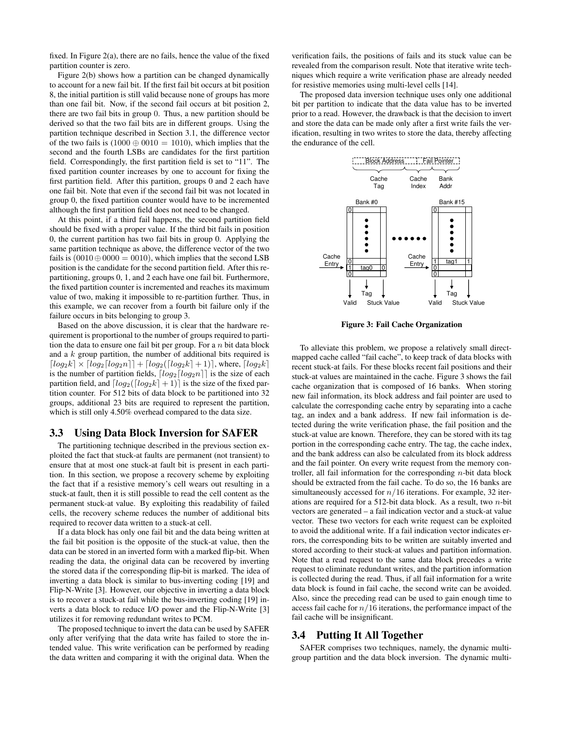fixed. In Figure  $2(a)$ , there are no fails, hence the value of the fixed partition counter is zero.

Figure 2(b) shows how a partition can be changed dynamically to account for a new fail bit. If the first fail bit occurs at bit position 8, the initial partition is still valid because none of groups has more than one fail bit. Now, if the second fail occurs at bit position 2, there are two fail bits in group 0. Thus, a new partition should be derived so that the two fail bits are in different groups. Using the partition technique described in Section 3.1, the difference vector of the two fails is  $(1000 \oplus 0010 = 1010)$ , which implies that the second and the fourth LSBs are candidates for the first partition field. Correspondingly, the first partition field is set to "11". The fixed partition counter increases by one to account for fixing the first partition field. After this partition, groups 0 and 2 each have one fail bit. Note that even if the second fail bit was not located in group 0, the fixed partition counter would have to be incremented although the first partition field does not need to be changed.

At this point, if a third fail happens, the second partition field should be fixed with a proper value. If the third bit fails in position 0, the current partition has two fail bits in group 0. Applying the same partition technique as above, the difference vector of the two fails is  $(0010 \oplus 0000 = 0010)$ , which implies that the second LSB position is the candidate for the second partition field. After this repartitioning, groups 0, 1, and 2 each have one fail bit. Furthermore, the fixed partition counter is incremented and reaches its maximum value of two, making it impossible to re-partition further. Thus, in this example, we can recover from a fourth bit failure only if the failure occurs in bits belonging to group 3.

Based on the above discussion, it is clear that the hardware requirement is proportional to the number of groups required to partition the data to ensure one fail bit per group. For a  $n$  bit data block and a  $k$  group partition, the number of additional bits required is  $\lceil log_2k \rceil \times \lceil log_2 \lceil log_2n \rceil \rceil + \lceil log_2 \lceil log_2k \rceil + 1 \rceil$ , where,  $\lceil log_2k \rceil$ is the number of partition fields,  $\lfloor log_2 \lfloor log_2 n \rfloor \rfloor$  is the size of each partition field, and  $\lceil log_2(\lceil log_2k \rceil + 1) \rceil$  is the size of the fixed partition counter. For 512 bits of data block to be partitioned into 32 groups, additional 23 bits are required to represent the partition, which is still only 4.50% overhead compared to the data size.

### **3.3 Using Data Block Inversion for SAFER**

The partitioning technique described in the previous section exploited the fact that stuck-at faults are permanent (not transient) to ensure that at most one stuck-at fault bit is present in each partition. In this section, we propose a recovery scheme by exploiting the fact that if a resistive memory's cell wears out resulting in a stuck-at fault, then it is still possible to read the cell content as the permanent stuck-at value. By exploiting this readability of failed cells, the recovery scheme reduces the number of additional bits required to recover data written to a stuck-at cell.

If a data block has only one fail bit and the data being written at the fail bit position is the opposite of the stuck-at value, then the data can be stored in an inverted form with a marked flip-bit. When reading the data, the original data can be recovered by inverting the stored data if the corresponding flip-bit is marked. The idea of inverting a data block is similar to bus-inverting coding [19] and Flip-N-Write [3]. However, our objective in inverting a data block is to recover a stuck-at fail while the bus-inverting coding [19] inverts a data block to reduce I/O power and the Flip-N-Write [3] utilizes it for removing redundant writes to PCM.

The proposed technique to invert the data can be used by SAFER only after verifying that the data write has failed to store the intended value. This write verification can be performed by reading the data written and comparing it with the original data. When the verification fails, the positions of fails and its stuck value can be revealed from the comparison result. Note that iterative write techniques which require a write verification phase are already needed for resistive memories using multi-level cells [14].

The proposed data inversion technique uses only one additional bit per partition to indicate that the data value has to be inverted prior to a read. However, the drawback is that the decision to invert and store the data can be made only after a first write fails the verification, resulting in two writes to store the data, thereby affecting the endurance of the cell.



**Figure 3: Fail Cache Organization**

To alleviate this problem, we propose a relatively small directmapped cache called "fail cache", to keep track of data blocks with recent stuck-at fails. For these blocks recent fail positions and their stuck-at values are maintained in the cache. Figure 3 shows the fail cache organization that is composed of 16 banks. When storing new fail information, its block address and fail pointer are used to calculate the corresponding cache entry by separating into a cache tag, an index and a bank address. If new fail information is detected during the write verification phase, the fail position and the stuck-at value are known. Therefore, they can be stored with its tag portion in the corresponding cache entry. The tag, the cache index, and the bank address can also be calculated from its block address and the fail pointer. On every write request from the memory controller, all fail information for the corresponding  $n$ -bit data block should be extracted from the fail cache. To do so, the 16 banks are simultaneously accessed for  $n/16$  iterations. For example, 32 iterations are required for a 512-bit data block. As a result, two n-bit vectors are generated – a fail indication vector and a stuck-at value vector. These two vectors for each write request can be exploited to avoid the additional write. If a fail indication vector indicates errors, the corresponding bits to be written are suitably inverted and stored according to their stuck-at values and partition information. Note that a read request to the same data block precedes a write request to eliminate redundant writes, and the partition information is collected during the read. Thus, if all fail information for a write data block is found in fail cache, the second write can be avoided. Also, since the preceding read can be used to gain enough time to access fail cache for  $n/16$  iterations, the performance impact of the fail cache will be insignificant.

#### **3.4 Putting It All Together**

SAFER comprises two techniques, namely, the dynamic multigroup partition and the data block inversion. The dynamic multi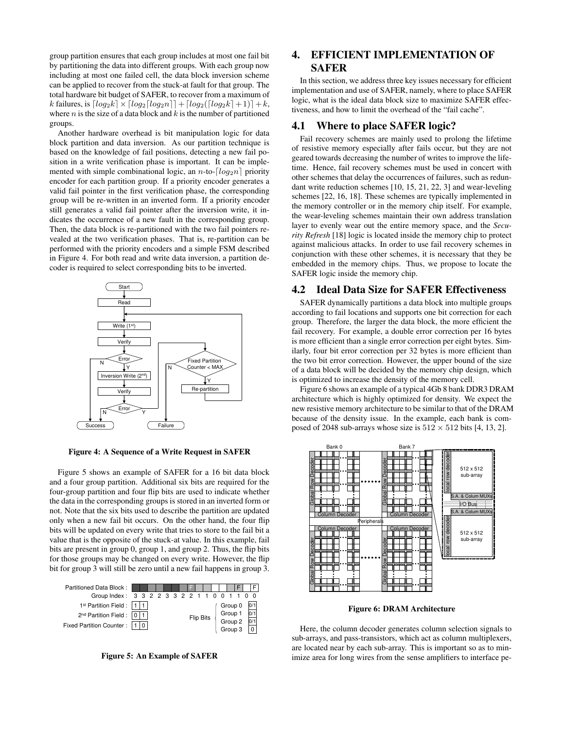group partition ensures that each group includes at most one fail bit by partitioning the data into different groups. With each group now including at most one failed cell, the data block inversion scheme can be applied to recover from the stuck-at fault for that group. The total hardware bit budget of SAFER, to recover from a maximum of k failures, is  $\lfloor log_2k \rfloor \times \lfloor log_2[log_2n] \rfloor + \lfloor log_2([log_2k]+1) \rfloor + k$ , where  $n$  is the size of a data block and  $k$  is the number of partitioned groups.

Another hardware overhead is bit manipulation logic for data block partition and data inversion. As our partition technique is based on the knowledge of fail positions, detecting a new fail position in a write verification phase is important. It can be implemented with simple combinational logic, an *n*-to- $\lceil log_2n \rceil$  priority encoder for each partition group. If a priority encoder generates a valid fail pointer in the first verification phase, the corresponding group will be re-written in an inverted form. If a priority encoder still generates a valid fail pointer after the inversion write, it indicates the occurrence of a new fault in the corresponding group. Then, the data block is re-partitioned with the two fail pointers revealed at the two verification phases. That is, re-partition can be performed with the priority encoders and a simple FSM described in Figure 4. For both read and write data inversion, a partition decoder is required to select corresponding bits to be inverted.



**Figure 4: A Sequence of a Write Request in SAFER**

Figure 5 shows an example of SAFER for a 16 bit data block and a four group partition. Additional six bits are required for the four-group partition and four flip bits are used to indicate whether the data in the corresponding groups is stored in an inverted form or not. Note that the six bits used to describe the partition are updated only when a new fail bit occurs. On the other hand, the four flip bits will be updated on every write that tries to store to the fail bit a value that is the opposite of the stuck-at value. In this example, fail bits are present in group 0, group 1, and group 2. Thus, the flip bits for those groups may be changed on every write. However, the flip bit for group 3 will still be zero until a new fail happens in group 3.



**Figure 5: An Example of SAFER**

# **4. EFFICIENT IMPLEMENTATION OF SAFER**

In this section, we address three key issues necessary for efficient implementation and use of SAFER, namely, where to place SAFER logic, what is the ideal data block size to maximize SAFER effectiveness, and how to limit the overhead of the "fail cache".

#### **4.1 Where to place SAFER logic?**

Fail recovery schemes are mainly used to prolong the lifetime of resistive memory especially after fails occur, but they are not geared towards decreasing the number of writes to improve the lifetime. Hence, fail recovery schemes must be used in concert with other schemes that delay the occurrences of failures, such as redundant write reduction schemes [10, 15, 21, 22, 3] and wear-leveling schemes [22, 16, 18]. These schemes are typically implemented in the memory controller or in the memory chip itself. For example, the wear-leveling schemes maintain their own address translation layer to evenly wear out the entire memory space, and the *Security Refresh* [18] logic is located inside the memory chip to protect against malicious attacks. In order to use fail recovery schemes in conjunction with these other schemes, it is necessary that they be embedded in the memory chips. Thus, we propose to locate the SAFER logic inside the memory chip.

#### **4.2 Ideal Data Size for SAFER Effectiveness**

SAFER dynamically partitions a data block into multiple groups according to fail locations and supports one bit correction for each group. Therefore, the larger the data block, the more efficient the fail recovery. For example, a double error correction per 16 bytes is more efficient than a single error correction per eight bytes. Similarly, four bit error correction per 32 bytes is more efficient than the two bit error correction. However, the upper bound of the size of a data block will be decided by the memory chip design, which is optimized to increase the density of the memory cell.

Figure 6 shows an example of a typical 4Gb 8 bank DDR3 DRAM architecture which is highly optimized for density. We expect the new resistive memory architecture to be similar to that of the DRAM because of the density issue. In the example, each bank is composed of 2048 sub-arrays whose size is  $512 \times 512$  bits [4, 13, 2].



**Figure 6: DRAM Architecture**

Here, the column decoder generates column selection signals to sub-arrays, and pass-transistors, which act as column multiplexers, are located near by each sub-array. This is important so as to minimize area for long wires from the sense amplifiers to interface pe-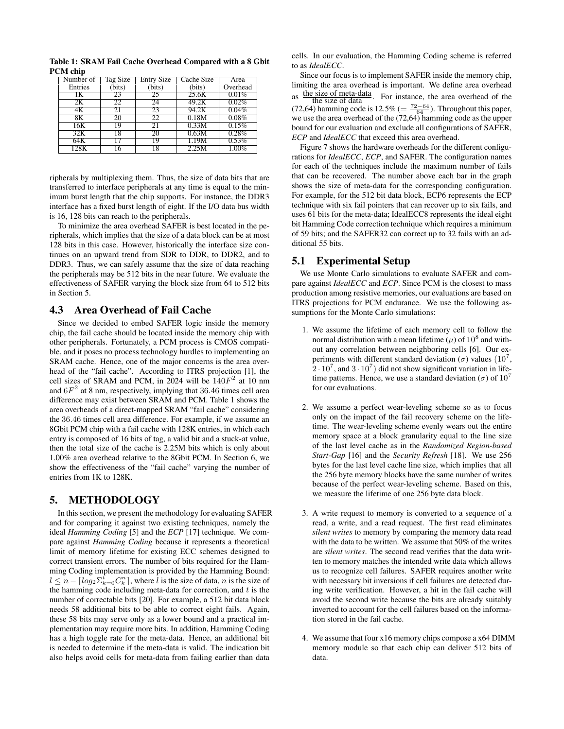| Number of | Tag Size | <b>Entry Size</b> | Cache Size | Area     |
|-----------|----------|-------------------|------------|----------|
| Entries   | (bits)   | (bits)            | (bits)     | Overhead |
| 1Κ        | ን3       | 25                | 25.6K      | 0.01%    |
| 2K        | 22       | 24                | 49.2K      | 0.02%    |
| 4Κ        | 21       | 23                | 94.2K      | $0.04\%$ |
| 8Κ        | 20       | 22                | 0.18M      | $0.08\%$ |
| 16K       | 19       | 21                | 0.33M      | 0.15%    |
| 32K       | 18       | 20                | 0.63M      | $0.28\%$ |
| 64K       |          |                   | 1.19M      | $0.53\%$ |
| 12.8K     |          | 18                |            |          |

**Table 1: SRAM Fail Cache Overhead Compared with a 8 Gbit PCM chip**

ripherals by multiplexing them. Thus, the size of data bits that are transferred to interface peripherals at any time is equal to the minimum burst length that the chip supports. For instance, the DDR3 interface has a fixed burst length of eight. If the I/O data bus width is 16, 128 bits can reach to the peripherals.

To minimize the area overhead SAFER is best located in the peripherals, which implies that the size of a data block can be at most 128 bits in this case. However, historically the interface size continues on an upward trend from SDR to DDR, to DDR2, and to DDR3. Thus, we can safely assume that the size of data reaching the peripherals may be 512 bits in the near future. We evaluate the effectiveness of SAFER varying the block size from 64 to 512 bits in Section 5.

#### **4.3 Area Overhead of Fail Cache**

Since we decided to embed SAFER logic inside the memory chip, the fail cache should be located inside the memory chip with other peripherals. Fortunately, a PCM process is CMOS compatible, and it poses no process technology hurdles to implementing an SRAM cache. Hence, one of the major concerns is the area overhead of the "fail cache". According to ITRS projection [1], the cell sizes of SRAM and PCM, in 2024 will be  $140F<sup>2</sup>$  at 10 nm and  $6F<sup>2</sup>$  at 8 nm, respectively, implying that 36.46 times cell area difference may exist between SRAM and PCM. Table 1 shows the area overheads of a direct-mapped SRAM "fail cache" considering the 36.46 times cell area difference. For example, if we assume an 8Gbit PCM chip with a fail cache with 128K entries, in which each entry is composed of 16 bits of tag, a valid bit and a stuck-at value, then the total size of the cache is 2.25M bits which is only about 1.00% area overhead relative to the 8Gbit PCM. In Section 6, we show the effectiveness of the "fail cache" varying the number of entries from 1K to 128K.

#### **5. METHODOLOGY**

In thissection, we present the methodology for evaluating SAFER and for comparing it against two existing techniques, namely the ideal *Hamming Coding* [5] and the *ECP* [17] technique. We compare against *Hamming Coding* because it represents a theoretical limit of memory lifetime for existing ECC schemes designed to correct transient errors. The number of bits required for the Hamming Coding implementation is provided by the Hamming Bound:  $l \leq n - \lceil log_2 \sum_{k=0}^{t} C_k^n \rceil$ , where l is the size of data, n is the size of the hamming code including meta-data for correction, and  $t$  is the number of correctable bits [20]. For example, a 512 bit data block needs 58 additional bits to be able to correct eight fails. Again, these 58 bits may serve only as a lower bound and a practical implementation may require more bits. In addition, Hamming Coding has a high toggle rate for the meta-data. Hence, an additional bit is needed to determine if the meta-data is valid. The indication bit also helps avoid cells for meta-data from failing earlier than data

cells. In our evaluation, the Hamming Coding scheme is referred to as *IdealECC*.

Since our focus is to implement SAFER inside the memory chip, limiting the area overhead is important. We define area overhead as  $\frac{\text{the size of meta-data}}{\text{the size of data}}$ . For instance, the area overhead of the (72,64) hamming code is 12.5% (=  $\frac{72-64}{64}$ ). Throughout this paper, we use the area overhead of the (72,64) hamming code as the upper bound for our evaluation and exclude all configurations of SAFER, *ECP* and *IdealECC* that exceed this area overhead.

Figure 7 shows the hardware overheads for the different configurations for *IdealECC*, *ECP*, and SAFER. The configuration names for each of the techniques include the maximum number of fails that can be recovered. The number above each bar in the graph shows the size of meta-data for the corresponding configuration. For example, for the 512 bit data block, ECP6 represents the ECP technique with six fail pointers that can recover up to six fails, and uses 61 bits for the meta-data; IdealECC8 represents the ideal eight bit Hamming Code correction technique which requires a minimum of 59 bits; and the SAFER32 can correct up to 32 fails with an additional 55 bits.

#### **5.1 Experimental Setup**

We use Monte Carlo simulations to evaluate SAFER and compare against *IdealECC* and *ECP*. Since PCM is the closest to mass production among resistive memories, our evaluations are based on ITRS projections for PCM endurance. We use the following assumptions for the Monte Carlo simulations:

- 1. We assume the lifetime of each memory cell to follow the normal distribution with a mean lifetime  $(\mu)$  of  $10^8$  and without any correlation between neighboring cells [6]. Our experiments with different standard deviation  $(\sigma)$  values  $(10^7,$  $2 \cdot 10^7$ , and  $3 \cdot 10^7$ ) did not show significant variation in lifetime patterns. Hence, we use a standard deviation ( $\sigma$ ) of  $10^7$ for our evaluations.
- 2. We assume a perfect wear-leveling scheme so as to focus only on the impact of the fail recovery scheme on the lifetime. The wear-leveling scheme evenly wears out the entire memory space at a block granularity equal to the line size of the last level cache as in the *Randomized Region-based Start-Gap* [16] and the *Security Refresh* [18]. We use 256 bytes for the last level cache line size, which implies that all the 256 byte memory blocks have the same number of writes because of the perfect wear-leveling scheme. Based on this, we measure the lifetime of one 256 byte data block.
- 3. A write request to memory is converted to a sequence of a read, a write, and a read request. The first read eliminates *silent writes* to memory by comparing the memory data read with the data to be written. We assume that 50% of the writes are *silent writes*. The second read verifies that the data written to memory matches the intended write data which allows us to recognize cell failures. SAFER requires another write with necessary bit inversions if cell failures are detected during write verification. However, a hit in the fail cache will avoid the second write because the bits are already suitably inverted to account for the cell failures based on the information stored in the fail cache.
- 4. We assume that four x16 memory chips compose a x64 DIMM memory module so that each chip can deliver 512 bits of data.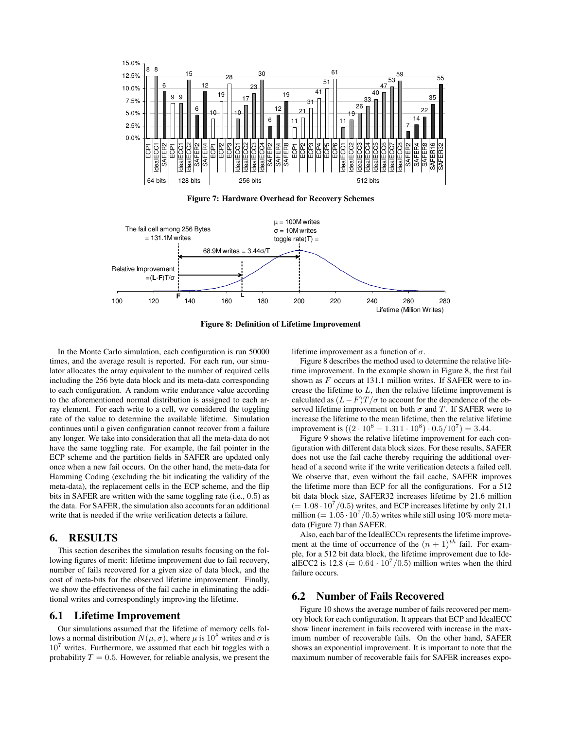

**Figure 7: Hardware Overhead for Recovery Schemes**



**Figure 8: Definition of Lifetime Improvement**

In the Monte Carlo simulation, each configuration is run 50000 times, and the average result is reported. For each run, our simulator allocates the array equivalent to the number of required cells including the 256 byte data block and its meta-data corresponding to each configuration. A random write endurance value according to the aforementioned normal distribution is assigned to each array element. For each write to a cell, we considered the toggling rate of the value to determine the available lifetime. Simulation continues until a given configuration cannot recover from a failure any longer. We take into consideration that all the meta-data do not have the same toggling rate. For example, the fail pointer in the ECP scheme and the partition fields in SAFER are updated only once when a new fail occurs. On the other hand, the meta-data for Hamming Coding (excluding the bit indicating the validity of the meta-data), the replacement cells in the ECP scheme, and the flip bits in SAFER are written with the same toggling rate (i.e., 0.5) as the data. For SAFER, the simulation also accounts for an additional write that is needed if the write verification detects a failure.

#### **6. RESULTS**

This section describes the simulation results focusing on the following figures of merit: lifetime improvement due to fail recovery, number of fails recovered for a given size of data block, and the cost of meta-bits for the observed lifetime improvement. Finally, we show the effectiveness of the fail cache in eliminating the additional writes and correspondingly improving the lifetime.

#### **6.1 Lifetime Improvement**

Our simulations assumed that the lifetime of memory cells follows a normal distribution  $N(\mu, \sigma)$ , where  $\mu$  is 10<sup>8</sup> writes and  $\sigma$  is  $10<sup>7</sup>$  writes. Furthermore, we assumed that each bit toggles with a probability  $T = 0.5$ . However, for reliable analysis, we present the

lifetime improvement as a function of  $\sigma$ .

Figure 8 describes the method used to determine the relative lifetime improvement. In the example shown in Figure 8, the first fail shown as  $F$  occurs at 131.1 million writes. If SAFER were to increase the lifetime to  $L$ , then the relative lifetime improvement is calculated as  $(L-F)T/\sigma$  to account for the dependence of the observed lifetime improvement on both  $\sigma$  and T. If SAFER were to increase the lifetime to the mean lifetime, then the relative lifetime improvement is  $((2 \cdot 10^8 - 1.311 \cdot 10^8) \cdot 0.5/10^7) = 3.44$ .

Figure 9 shows the relative lifetime improvement for each configuration with different data block sizes. For these results, SAFER does not use the fail cache thereby requiring the additional overhead of a second write if the write verification detects a failed cell. We observe that, even without the fail cache, SAFER improves the lifetime more than ECP for all the configurations. For a 512 bit data block size, SAFER32 increases lifetime by 21.6 million  $(= 1.08 \cdot 10^7 / 0.5)$  writes, and ECP increases lifetime by only 21.1 million (=  $1.05 \cdot 10^7/0.5$ ) writes while still using 10% more metadata (Figure 7) than SAFER.

Also, each bar of the IdealECC $n$  represents the lifetime improvement at the time of occurrence of the  $(n + 1)$ <sup>th</sup> fail. For example, for a 512 bit data block, the lifetime improvement due to IdealECC2 is 12.8 (=  $0.64 \cdot 10^7/0.5$ ) million writes when the third failure occurs.

#### **6.2 Number of Fails Recovered**

Figure 10 shows the average number of fails recovered per memory block for each configuration. It appears that ECP and IdealECC show linear increment in fails recovered with increase in the maximum number of recoverable fails. On the other hand, SAFER shows an exponential improvement. It is important to note that the maximum number of recoverable fails for SAFER increases expo-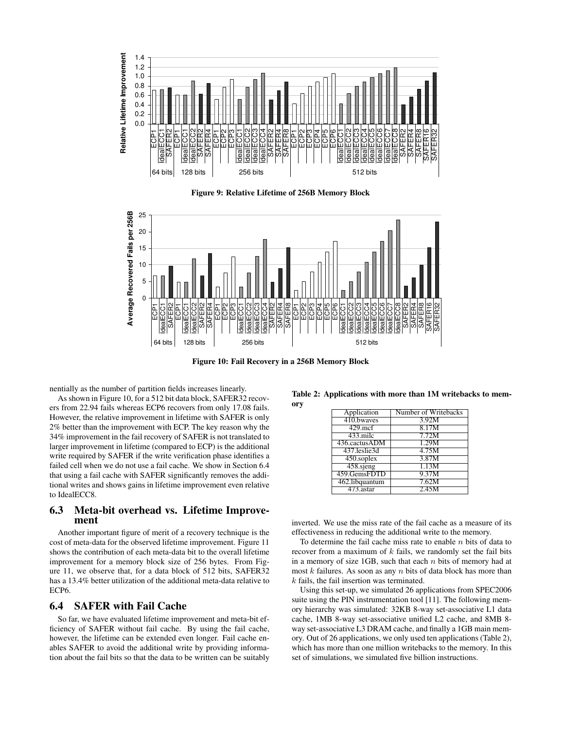

**Figure 9: Relative Lifetime of 256B Memory Block**



**Figure 10: Fail Recovery in a 256B Memory Block**

nentially as the number of partition fields increases linearly.

As shown in Figure 10, for a 512 bit data block, SAFER32 recovers from 22.94 fails whereas ECP6 recovers from only 17.08 fails. However, the relative improvement in lifetime with SAFER is only 2% better than the improvement with ECP. The key reason why the 34% improvement in the fail recovery of SAFER is not translated to larger improvement in lifetime (compared to ECP) is the additional write required by SAFER if the write verification phase identifies a failed cell when we do not use a fail cache. We show in Section 6.4 that using a fail cache with SAFER significantly removes the additional writes and shows gains in lifetime improvement even relative to IdealECC8.

#### **6.3 Meta-bit overhead vs. Lifetime Improvement**

Another important figure of merit of a recovery technique is the cost of meta-data for the observed lifetime improvement. Figure 11 shows the contribution of each meta-data bit to the overall lifetime improvement for a memory block size of 256 bytes. From Figure 11, we observe that, for a data block of 512 bits, SAFER32 has a 13.4% better utilization of the additional meta-data relative to ECP6.

#### **6.4 SAFER with Fail Cache**

So far, we have evaluated lifetime improvement and meta-bit efficiency of SAFER without fail cache. By using the fail cache, however, the lifetime can be extended even longer. Fail cache enables SAFER to avoid the additional write by providing information about the fail bits so that the data to be written can be suitably

|     | Table 2: Applications with more than 1M writebacks to mem- |  |  |  |  |
|-----|------------------------------------------------------------|--|--|--|--|
| orv |                                                            |  |  |  |  |

| Application        | Number of Writebacks |
|--------------------|----------------------|
| 410.bwaves         | 3.92M                |
| $429$ mcf          | 8.17M                |
| $433 \text{ mile}$ | 7.72M                |
| 436.cactusADM      | 1.29M                |
| 437.leslie3d       | 4.75M                |
| $450$ .soplex      | 3.87M                |
| 458.sjeng          | 1.13M                |
| 459.GemsFDTD       | 9.37M                |
| 462.libquantum     | 7.62M                |
| 473.astar          | 2.45M                |

inverted. We use the miss rate of the fail cache as a measure of its effectiveness in reducing the additional write to the memory.

To determine the fail cache miss rate to enable  $n$  bits of data to recover from a maximum of  $k$  fails, we randomly set the fail bits in a memory of size  $1GB$ , such that each n bits of memory had at most  $k$  failures. As soon as any  $n$  bits of data block has more than  $k$  fails, the fail insertion was terminated.

Using this set-up, we simulated 26 applications from SPEC2006 suite using the PIN instrumentation tool [11]. The following memory hierarchy was simulated: 32KB 8-way set-associative L1 data cache, 1MB 8-way set-associative unified L2 cache, and 8MB 8 way set-associative L3 DRAM cache, and finally a 1GB main memory. Out of 26 applications, we only used ten applications (Table 2), which has more than one million writebacks to the memory. In this set of simulations, we simulated five billion instructions.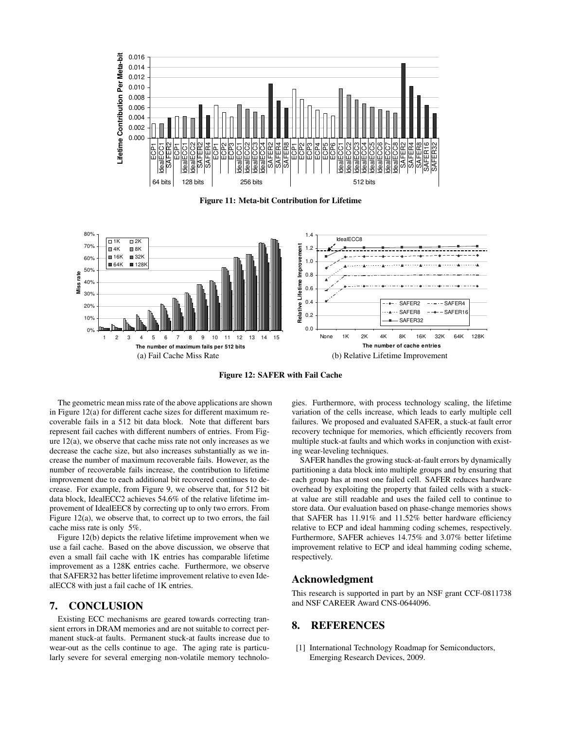

**Figure 11: Meta-bit Contribution for Lifetime**



**Figure 12: SAFER with Fail Cache**

The geometric mean miss rate of the above applications are shown in Figure 12(a) for different cache sizes for different maximum recoverable fails in a 512 bit data block. Note that different bars represent fail caches with different numbers of entries. From Figure 12(a), we observe that cache miss rate not only increases as we decrease the cache size, but also increases substantially as we increase the number of maximum recoverable fails. However, as the number of recoverable fails increase, the contribution to lifetime improvement due to each additional bit recovered continues to decrease. For example, from Figure 9, we observe that, for 512 bit data block, IdealECC2 achieves 54.6% of the relative lifetime improvement of IdealEEC8 by correcting up to only two errors. From Figure 12(a), we observe that, to correct up to two errors, the fail cache miss rate is only 5%.

Figure 12(b) depicts the relative lifetime improvement when we use a fail cache. Based on the above discussion, we observe that even a small fail cache with 1K entries has comparable lifetime improvement as a 128K entries cache. Furthermore, we observe that SAFER32 has better lifetime improvement relative to even IdealECC8 with just a fail cache of 1K entries.

#### **7. CONCLUSION**

Existing ECC mechanisms are geared towards correcting transient errors in DRAM memories and are not suitable to correct permanent stuck-at faults. Permanent stuck-at faults increase due to wear-out as the cells continue to age. The aging rate is particularly severe for several emerging non-volatile memory technolo-

gies. Furthermore, with process technology scaling, the lifetime variation of the cells increase, which leads to early multiple cell failures. We proposed and evaluated SAFER, a stuck-at fault error recovery technique for memories, which efficiently recovers from multiple stuck-at faults and which works in conjunction with existing wear-leveling techniques.

SAFER handles the growing stuck-at-fault errors by dynamically partitioning a data block into multiple groups and by ensuring that each group has at most one failed cell. SAFER reduces hardware overhead by exploiting the property that failed cells with a stuckat value are still readable and uses the failed cell to continue to store data. Our evaluation based on phase-change memories shows that SAFER has 11.91% and 11.52% better hardware efficiency relative to ECP and ideal hamming coding schemes, respectively. Furthermore, SAFER achieves 14.75% and 3.07% better lifetime improvement relative to ECP and ideal hamming coding scheme, respectively.

#### **Acknowledgment**

This research is supported in part by an NSF grant CCF-0811738 and NSF CAREER Award CNS-0644096.

## **8. REFERENCES**

[1] International Technology Roadmap for Semiconductors, Emerging Research Devices, 2009.